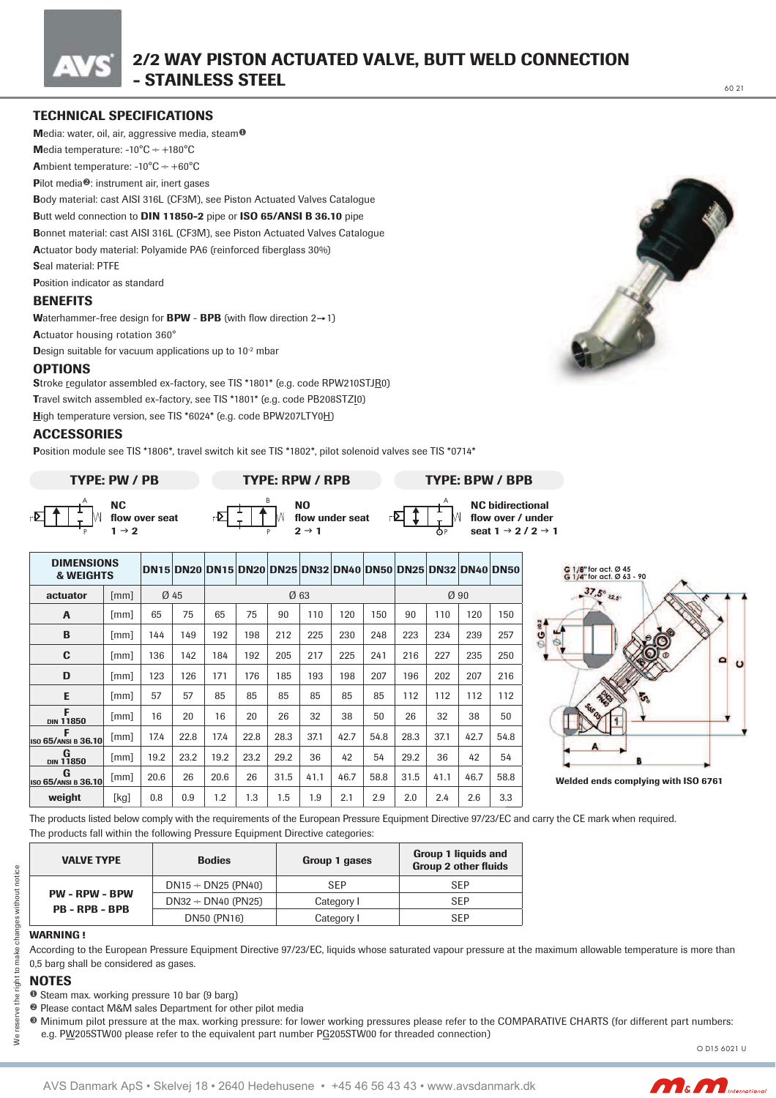# **TECHNICAL SPECIFICATIONS**

Media: water, oil, air, aggressive media, steam<sup>o</sup> Media temperature:  $-10^{\circ}$ C  $\div$   $+180^{\circ}$ C

**A**mbient temperature:  $-10^{\circ}C \div +60^{\circ}C$ 

Pilot media<sup>®</sup>: instrument air, inert gases

Body material: cast AISI 316L (CF3M), see Piston Actuated Valves Catalogue

#### Butt weld connection to DIN 11850-2 pipe or ISO 65/ANSI B 36.10 pipe

Bonnet material: cast AISI 316L (CF3M), see Piston Actuated Valves Catalogue Actuator body material: Polyamide PA6 (reinforced fiberglass 30%)

Seal material: PTFE

**Position indicator as standard** 

## **BENEFITS**

Waterhammer-free design for **BPW** - **BPB** (with flow direction  $2 \rightarrow 1$ )

Actuator housing rotation 360°

Design suitable for vacuum applications up to 10<sup>-2</sup> mbar

## **OPTIONS**

Stroke regulator assembled ex-factory, see TIS \*1801\* (e.g. code RPW210STJR0) Travel switch assembled ex-factory, see TIS \*1801\* (e.g. code PB208STZI0) High temperature version, see TIS \*6024\* (e.g. code BPW207LTY0H)

## **ACCESSORIES**

Position module see TIS \*1806\*, travel switch kit see TIS \*1802\*, pilot solenoid valves see TIS \*0714\*







**TYPE: RPW / RPB** 



flow over / under seat  $1 \rightarrow 2 / 2 \rightarrow 1$ 

| <b>DIMENSIONS</b><br><b>&amp; WEIGHTS</b> |                             |      |      | DN15 DN20 DN15 DN20 DN25 DN32 DN40 DN50 DN25 DN32 DN40 DN50 |      |      |      |      |      |      |      |      |      |
|-------------------------------------------|-----------------------------|------|------|-------------------------------------------------------------|------|------|------|------|------|------|------|------|------|
| actuator                                  | $\lceil \mathsf{mm} \rceil$ | Ø 45 |      | Ø63                                                         |      |      |      |      |      | Ø90  |      |      |      |
| A                                         | mm                          | 65   | 75   | 65                                                          | 75   | 90   | 110  | 120  | 150  | 90   | 110  | 120  | 150  |
| B                                         | mm                          | 144  | 149  | 192                                                         | 198  | 212  | 225  | 230  | 248  | 223  | 234  | 239  | 257  |
| C                                         | [mm]                        | 136  | 142  | 184                                                         | 192  | 205  | 217  | 225  | 241  | 216  | 227  | 235  | 250  |
| D                                         | $\lceil \mathsf{mm} \rceil$ | 123  | 126  | 171                                                         | 176  | 185  | 193  | 198  | 207  | 196  | 202  | 207  | 216  |
| E                                         | mm                          | 57   | 57   | 85                                                          | 85   | 85   | 85   | 85   | 85   | 112  | 112  | 112  | 112  |
| F<br><b>DIN 11850</b>                     | [mm]                        | 16   | 20   | 16                                                          | 20   | 26   | 32   | 38   | 50   | 26   | 32   | 38   | 50   |
| F<br><b>ISO 65/ANSI B 36.10</b>           | [mm]                        | 17.4 | 22.8 | 17.4                                                        | 22.8 | 28.3 | 37.1 | 42.7 | 54.8 | 28.3 | 37.1 | 42.7 | 54.8 |
| G<br><b>DIN 11850</b>                     | [mm]                        | 19.2 | 23.2 | 19.2                                                        | 23.2 | 29.2 | 36   | 42   | 54   | 29.2 | 36   | 42   | 54   |
| G<br><b>ISO 65/ANSI B 36.10</b>           | [mm]                        | 20.6 | 26   | 20.6                                                        | 26   | 31.5 | 41.1 | 46.7 | 58.8 | 31.5 | 41.1 | 46.7 | 58.8 |
| weight                                    | [kg]                        | 0.8  | 0.9  | 1.2                                                         | 1.3  | 1.5  | 1.9  | 2.1  | 2.9  | 2.0  | 2.4  | 2.6  | 3.3  |





The products listed below comply with the requirements of the European Pressure Equipment Directive 97/23/EC and carry the CE mark when required. The products fall within the following Pressure Equipment Directive categories:

| <b>VALVE TYPE</b>                              | <b>Bodies</b>           | Group 1 gases | Group 1 liquids and<br><b>Group 2 other fluids</b> |  |  |
|------------------------------------------------|-------------------------|---------------|----------------------------------------------------|--|--|
|                                                | $DN15 \div DN25$ (PN40) | SEP           | <b>SFP</b>                                         |  |  |
| <b>PW - RPW - BPW</b><br><b>PB - RPB - BPB</b> | $DN32 \div DN40$ (PN25) | Category I    | <b>SEP</b>                                         |  |  |
|                                                | DN50 (PN16)             | Category I    | SEP                                                |  |  |

#### **WARNING I**

According to the European Pressure Equipment Directive 97/23/EC, liquids whose saturated vapour pressure at the maximum allowable temperature is more than 0,5 barg shall be considered as gases.

## **NOTES**

eserve the right to make changes without notice

₹

**O** Steam max. working pressure 10 bar (9 barg)

- <sup>2</sup> Please contact M&M sales Department for other pilot media
- <sup>®</sup> Minimum pilot pressure at the max. working pressure: for lower working pressures please refer to the COMPARATIVE CHARTS (for different part numbers:
	- e.g. PW205STW00 please refer to the equivalent part number PG205STW00 for threaded connection)